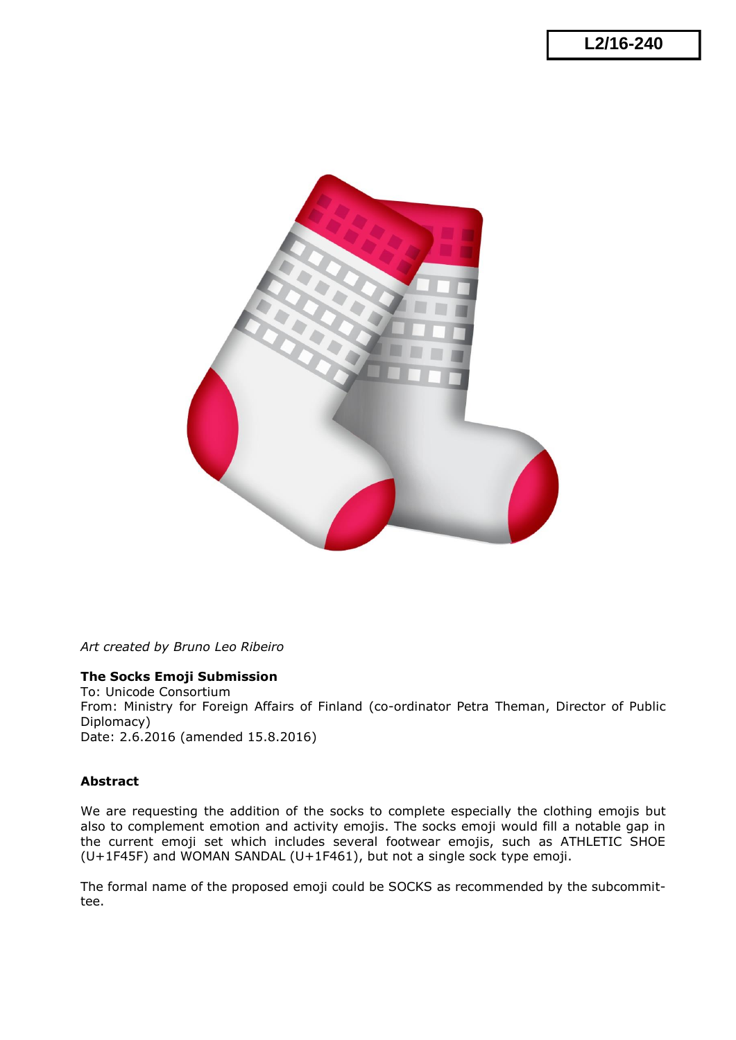

*Art created by Bruno Leo Ribeiro*

#### **The Socks Emoji Submission**

To: Unicode Consortium From: Ministry for Foreign Affairs of Finland (co-ordinator Petra Theman, Director of Public Diplomacy) Date: 2.6.2016 (amended 15.8.2016)

### **Abstract**

We are requesting the addition of the socks to complete especially the clothing emojis but also to complement emotion and activity emojis. The socks emoji would fill a notable gap in the current emoji set which includes several footwear emojis, such as ATHLETIC SHOE (U+1F45F) and WOMAN SANDAL (U+1F461), but not a single sock type emoji.

The formal name of the proposed emoji could be SOCKS as recommended by the subcommittee.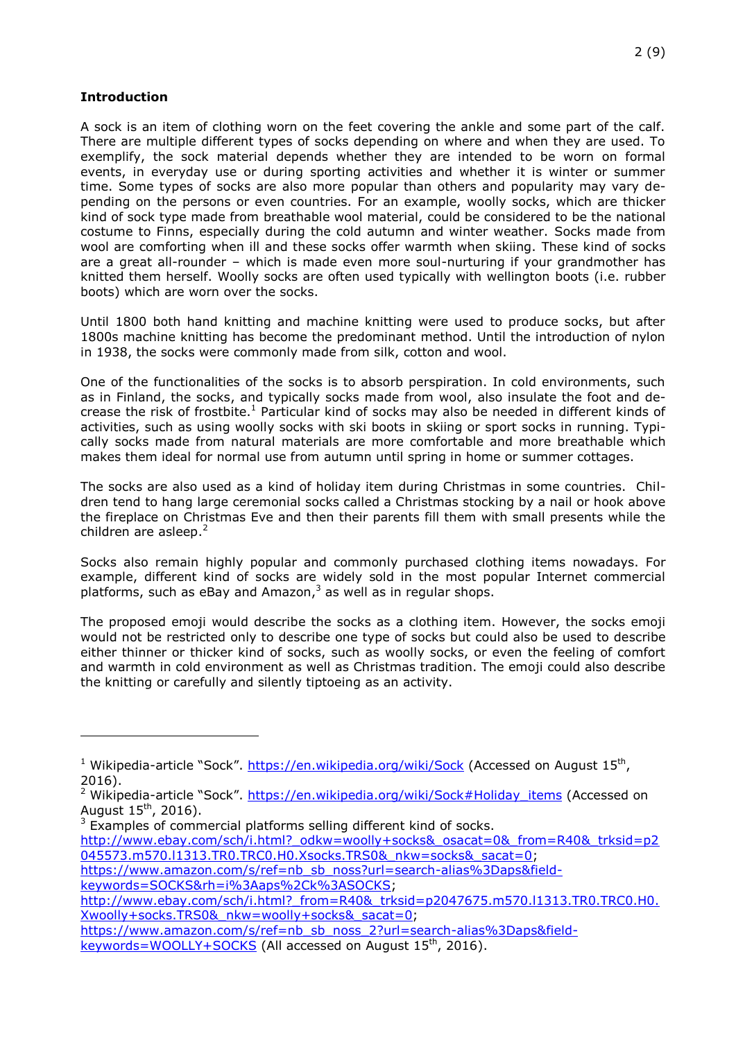#### **Introduction**

j.

A sock is an item of clothing worn on the feet covering the ankle and some part of the calf. There are multiple different types of socks depending on where and when they are used. To exemplify, the sock material depends whether they are intended to be worn on formal events, in everyday use or during sporting activities and whether it is winter or summer time. Some types of socks are also more popular than others and popularity may vary depending on the persons or even countries. For an example, woolly socks, which are thicker kind of sock type made from breathable wool material, could be considered to be the national costume to Finns, especially during the cold autumn and winter weather. Socks made from wool are comforting when ill and these socks offer warmth when skiing. These kind of socks are a great all-rounder – which is made even more soul-nurturing if your grandmother has knitted them herself. Woolly socks are often used typically with wellington boots (i.e. rubber boots) which are worn over the socks.

Until 1800 both hand knitting and machine knitting were used to produce socks, but after 1800s machine knitting has become the predominant method. Until the introduction of nylon in 1938, the socks were commonly made from silk, cotton and wool.

One of the functionalities of the socks is to absorb perspiration. In cold environments, such as in Finland, the socks, and typically socks made from wool, also insulate the foot and decrease the risk of frostbite.<sup>1</sup> Particular kind of socks may also be needed in different kinds of activities, such as using woolly socks with ski boots in skiing or sport socks in running. Typically socks made from natural materials are more comfortable and more breathable which makes them ideal for normal use from autumn until spring in home or summer cottages.

The socks are also used as a kind of holiday item during Christmas in some countries. Children tend to hang large ceremonial socks called a Christmas stocking by a nail or hook above the fireplace on Christmas Eve and then their parents fill them with small presents while the children are asleep. $<sup>2</sup>$ </sup>

Socks also remain highly popular and commonly purchased clothing items nowadays. For example, different kind of socks are widely sold in the most popular Internet commercial platforms, such as eBay and Amazon, $3$  as well as in regular shops.

The proposed emoji would describe the socks as a clothing item. However, the socks emoji would not be restricted only to describe one type of socks but could also be used to describe either thinner or thicker kind of socks, such as woolly socks, or even the feeling of comfort and warmth in cold environment as well as Christmas tradition. The emoji could also describe the knitting or carefully and silently tiptoeing as an activity.

- [http://www.ebay.com/sch/i.html?\\_odkw=woolly+socks&\\_osacat=0&\\_from=R40&\\_trksid=p2](http://www.ebay.com/sch/i.html?_odkw=woolly+socks&_osacat=0&_from=R40&_trksid=p2045573.m570.l1313.TR0.TRC0.H0.Xsocks.TRS0&_nkw=socks&_sacat=0) [045573.m570.l1313.TR0.TRC0.H0.Xsocks.TRS0&\\_nkw=socks&\\_sacat=0;](http://www.ebay.com/sch/i.html?_odkw=woolly+socks&_osacat=0&_from=R40&_trksid=p2045573.m570.l1313.TR0.TRC0.H0.Xsocks.TRS0&_nkw=socks&_sacat=0)
- [https://www.amazon.com/s/ref=nb\\_sb\\_noss?url=search-alias%3Daps&field](https://www.amazon.com/s/ref=nb_sb_noss?url=search-alias%3Daps&field-keywords=SOCKS&rh=i%3Aaps%2Ck%3ASOCKS)[keywords=SOCKS&rh=i%3Aaps%2Ck%3ASOCKS;](https://www.amazon.com/s/ref=nb_sb_noss?url=search-alias%3Daps&field-keywords=SOCKS&rh=i%3Aaps%2Ck%3ASOCKS)

<sup>&</sup>lt;sup>1</sup> Wikipedia-article "Sock". <https://en.wikipedia.org/wiki/Sock> (Accessed on August 15<sup>th</sup>, 2016).

<sup>&</sup>lt;sup>2</sup> Wikipedia-article "Sock". [https://en.wikipedia.org/wiki/Sock#Holiday\\_items](https://en.wikipedia.org/wiki/Sock#Holiday_items) (Accessed on August  $15^{th}$ , 2016).

 $3$  Examples of commercial platforms selling different kind of socks.

http://www.ebay.com/sch/i.html? from=R40&\_trksid=p2047675.m570.l1313.TR0.TRC0.H0. [Xwoolly+socks.TRS0&\\_nkw=woolly+socks&\\_sacat=0;](http://www.ebay.com/sch/i.html?_from=R40&_trksid=p2047675.m570.l1313.TR0.TRC0.H0.Xwoolly+socks.TRS0&_nkw=woolly+socks&_sacat=0)

[https://www.amazon.com/s/ref=nb\\_sb\\_noss\\_2?url=search-alias%3Daps&field-](https://www.amazon.com/s/ref=nb_sb_noss_2?url=search-alias%3Daps&field-keywords=WOOLLY+SOCKS)

[keywords=WOOLLY+SOCKS](https://www.amazon.com/s/ref=nb_sb_noss_2?url=search-alias%3Daps&field-keywords=WOOLLY+SOCKS) (All accessed on August 15<sup>th</sup>, 2016).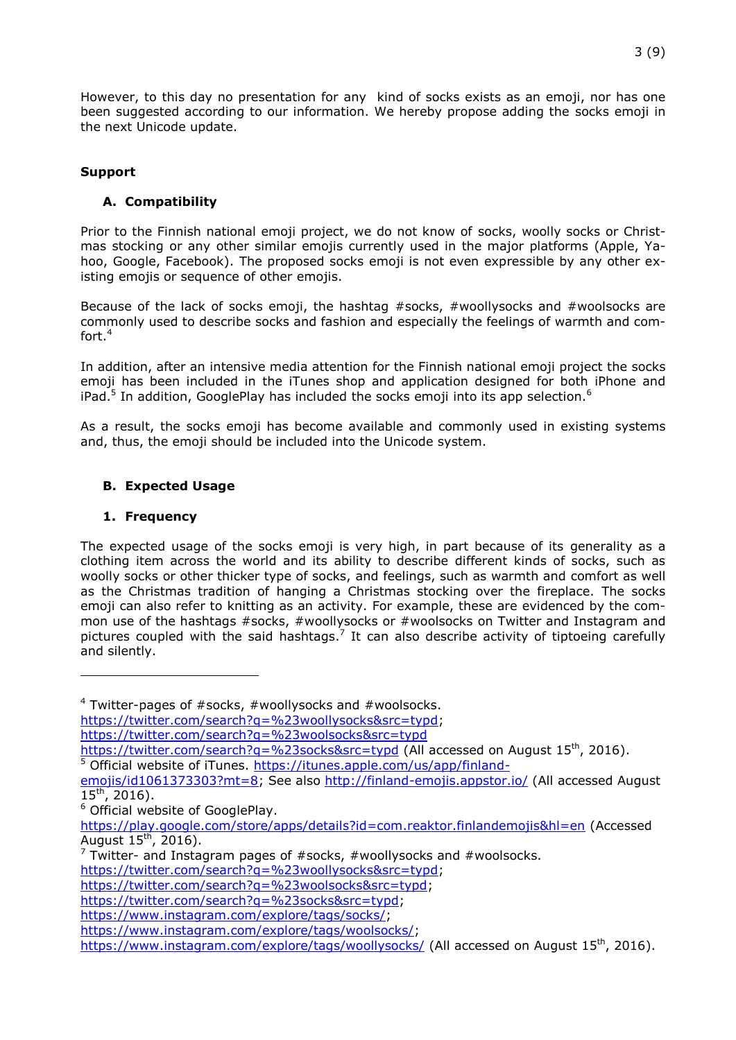However, to this day no presentation for any kind of socks exists as an emoji, nor has one been suggested according to our information. We hereby propose adding the socks emoji in the next Unicode update.

## **Support**

# **A. Compatibility**

Prior to the Finnish national emoji project, we do not know of socks, woolly socks or Christmas stocking or any other similar emojis currently used in the major platforms (Apple, Yahoo, Google, Facebook). The proposed socks emoji is not even expressible by any other existing emojis or sequence of other emojis.

Because of the lack of socks emoji, the hashtag #socks, #woollysocks and #woolsocks are commonly used to describe socks and fashion and especially the feelings of warmth and comfort.<sup>4</sup>

In addition, after an intensive media attention for the Finnish national emoji project the socks emoji has been included in the iTunes shop and application designed for both iPhone and iPad.<sup>5</sup> In addition, GooglePlay has included the socks emoji into its app selection.<sup>6</sup>

As a result, the socks emoji has become available and commonly used in existing systems and, thus, the emoji should be included into the Unicode system.

## **B. Expected Usage**

### **1. Frequency**

l

The expected usage of the socks emoji is very high, in part because of its generality as a clothing item across the world and its ability to describe different kinds of socks, such as woolly socks or other thicker type of socks, and feelings, such as warmth and comfort as well as the Christmas tradition of hanging a Christmas stocking over the fireplace. The socks emoji can also refer to knitting as an activity. For example, these are evidenced by the common use of the hashtags #socks, #woollysocks or #woolsocks on Twitter and Instagram and pictures coupled with the said hashtags.<sup>7</sup> It can also describe activity of tiptoeing carefully and silently.

 $4$  Twitter-pages of #socks, #woollysocks and #woolsocks.

[https://twitter.com/search?q=%23woollysocks&src=typd;](https://twitter.com/search?q=%23woollysocks&src=typd)

<https://twitter.com/search?q=%23woolsocks&src=typd>

<https://twitter.com/search?q=%23socks&src=typd> (All accessed on August 15<sup>th</sup>, 2016).

<sup>5</sup> Official website of iTunes. [https://itunes.apple.com/us/app/finland-](https://itunes.apple.com/us/app/finland-emojis/id1061373303?mt=8)

[emojis/id1061373303?mt=8;](https://itunes.apple.com/us/app/finland-emojis/id1061373303?mt=8) See also<http://finland-emojis.appstor.io/> (All accessed August  $15^{th}$ , 2016).

<sup>6</sup> Official website of GooglePlay.

<https://play.google.com/store/apps/details?id=com.reaktor.finlandemojis&hl=en> (Accessed August  $15^{\text{th}}$ , 2016).

 $7$  Twitter- and Instagram pages of  $#$ socks,  $#$ woollysocks and  $#$ woolsocks.

[https://twitter.com/search?q=%23woollysocks&src=typd;](https://twitter.com/search?q=%23woollysocks&src=typd)

[https://twitter.com/search?q=%23woolsocks&src=typd;](https://twitter.com/search?q=%23woolsocks&src=typd)

[https://twitter.com/search?q=%23socks&src=typd;](https://twitter.com/search?q=%23socks&src=typd)

[https://www.instagram.com/explore/tags/socks/;](https://www.instagram.com/explore/tags/socks/)

[https://www.instagram.com/explore/tags/woolsocks/;](https://www.instagram.com/explore/tags/woolsocks/)

<https://www.instagram.com/explore/tags/woollysocks/> (All accessed on August 15<sup>th</sup>, 2016).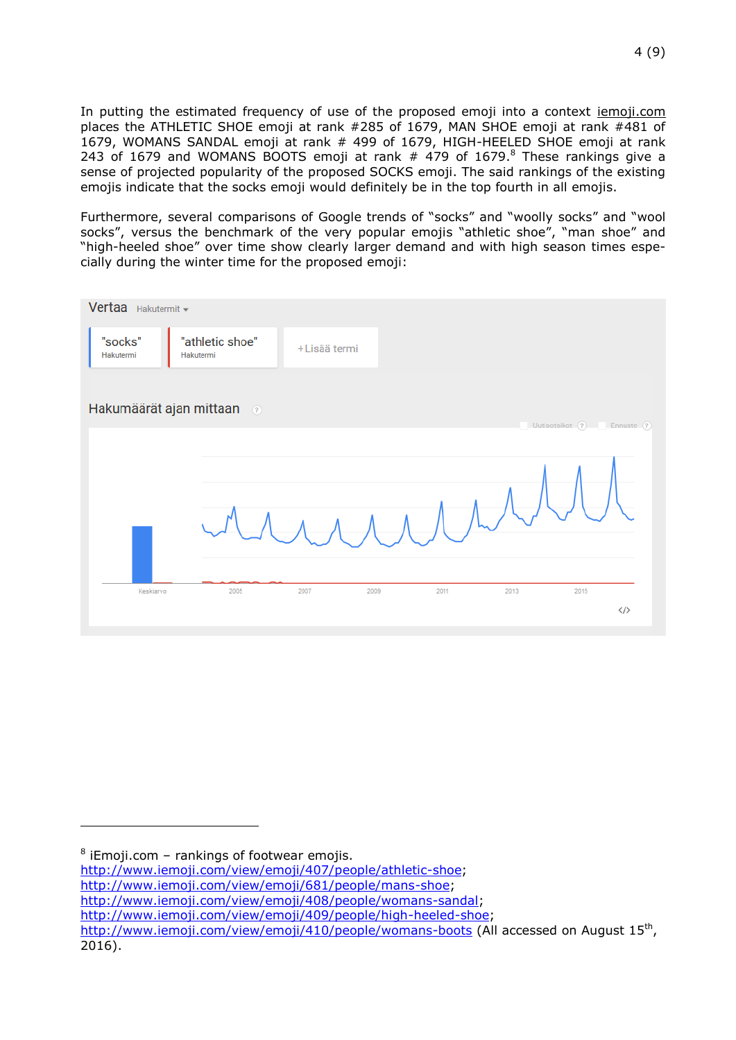In putting the estimated frequency of use of the proposed emoji into a context *iemoji.com* places the ATHLETIC SHOE emoji at rank #285 of 1679, MAN SHOE emoji at rank #481 of 1679, WOMANS SANDAL emoji at rank # 499 of 1679, HIGH-HEELED SHOE emoji at rank 243 of 1679 and WOMANS BOOTS emoji at rank  $#$  479 of 1679.<sup>8</sup> These rankings give a sense of projected popularity of the proposed SOCKS emoji. The said rankings of the existing emojis indicate that the socks emoji would definitely be in the top fourth in all emojis.

Furthermore, several comparisons of Google trends of "socks" and "woolly socks" and "wool socks", versus the benchmark of the very popular emojis "athletic shoe", "man shoe" and "high-heeled shoe" over time show clearly larger demand and with high season times especially during the winter time for the proposed emoji:



l

[http://www.iemoji.com/view/emoji/681/people/mans-shoe;](http://www.iemoji.com/view/emoji/681/people/mans-shoe)

 $8$  iEmoji.com - rankings of footwear emojis.

[http://www.iemoji.com/view/emoji/407/people/athletic-shoe;](http://www.iemoji.com/view/emoji/407/people/athletic-shoe)

[http://www.iemoji.com/view/emoji/408/people/womans-sandal;](http://www.iemoji.com/view/emoji/408/people/womans-sandal)

[http://www.iemoji.com/view/emoji/409/people/high-heeled-shoe;](http://www.iemoji.com/view/emoji/409/people/high-heeled-shoe)

<http://www.iemoji.com/view/emoji/410/people/womans-boots> (All accessed on August 15<sup>th</sup>, 2016).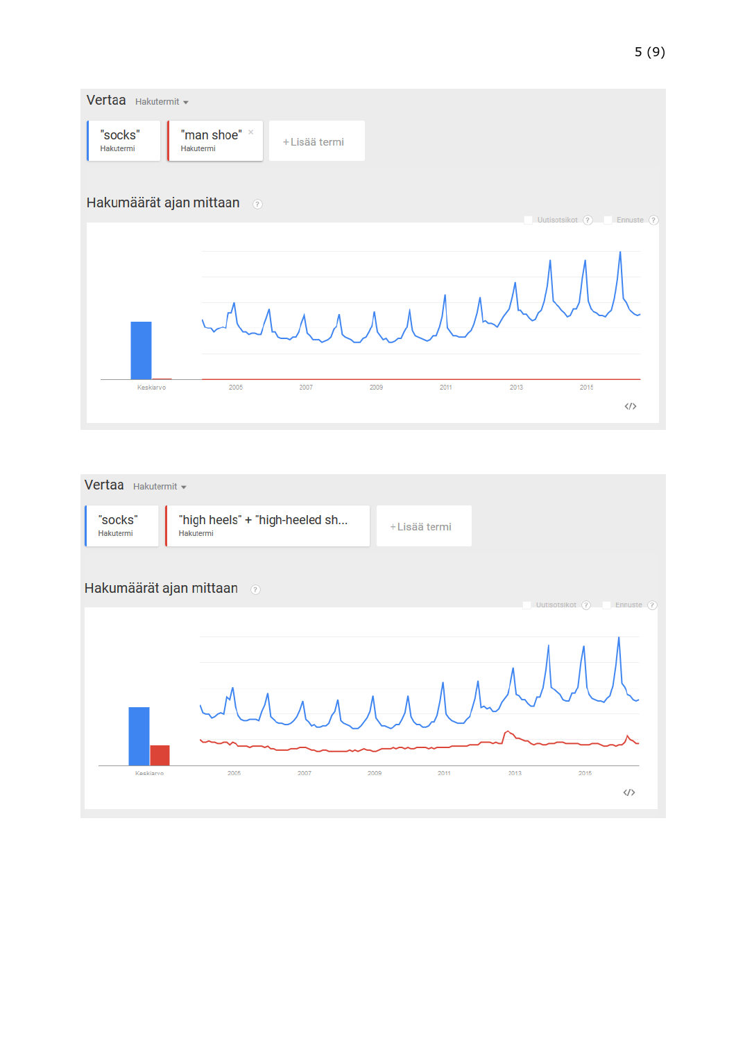

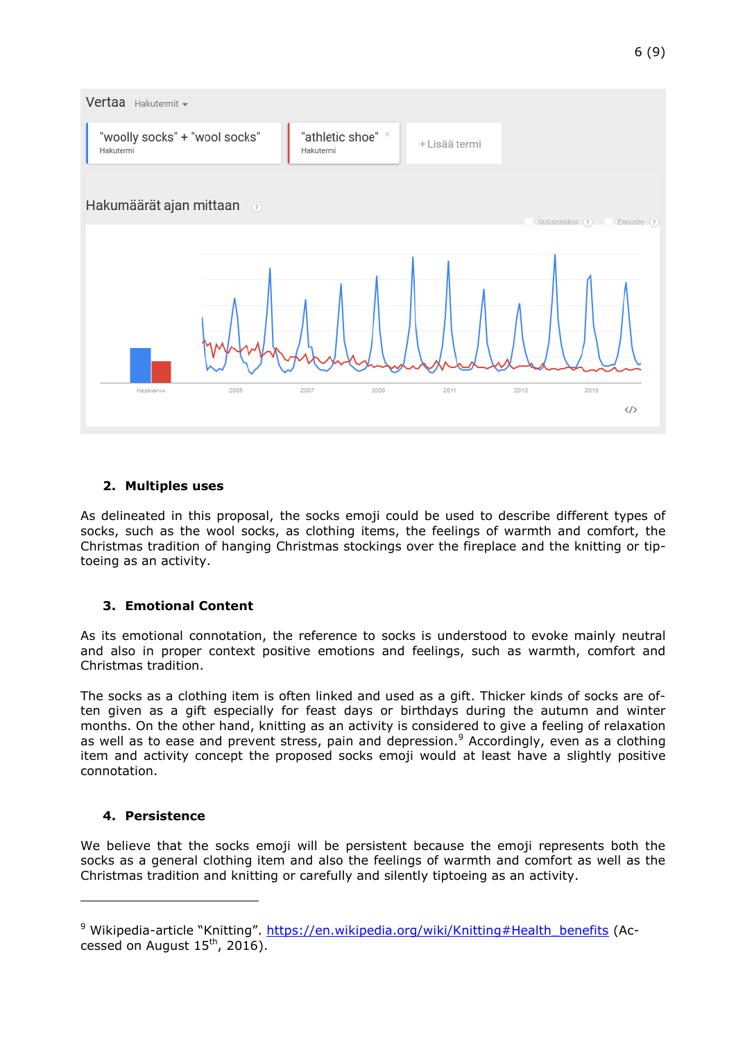

# **2. Multiples uses**

As delineated in this proposal, the socks emoji could be used to describe different types of socks, such as the wool socks, as clothing items, the feelings of warmth and comfort, the Christmas tradition of hanging Christmas stockings over the fireplace and the knitting or tiptoeing as an activity.

# **3. Emotional Content**

As its emotional connotation, the reference to socks is understood to evoke mainly neutral and also in proper context positive emotions and feelings, such as warmth, comfort and Christmas tradition.

The socks as a clothing item is often linked and used as a gift. Thicker kinds of socks are often given as a gift especially for feast days or birthdays during the autumn and winter months. On the other hand, knitting as an activity is considered to give a feeling of relaxation as well as to ease and prevent stress, pain and depression.<sup>9</sup> Accordingly, even as a clothing item and activity concept the proposed socks emoji would at least have a slightly positive connotation.

### **4. Persistence**

l

We believe that the socks emoji will be persistent because the emoji represents both the socks as a general clothing item and also the feelings of warmth and comfort as well as the Christmas tradition and knitting or carefully and silently tiptoeing as an activity.

<sup>&</sup>lt;sup>9</sup> Wikipedia-article "Knitting". [https://en.wikipedia.org/wiki/Knitting#Health\\_benefits](https://en.wikipedia.org/wiki/Knitting#Health_benefits) (Accessed on August  $15<sup>th</sup>$ , 2016).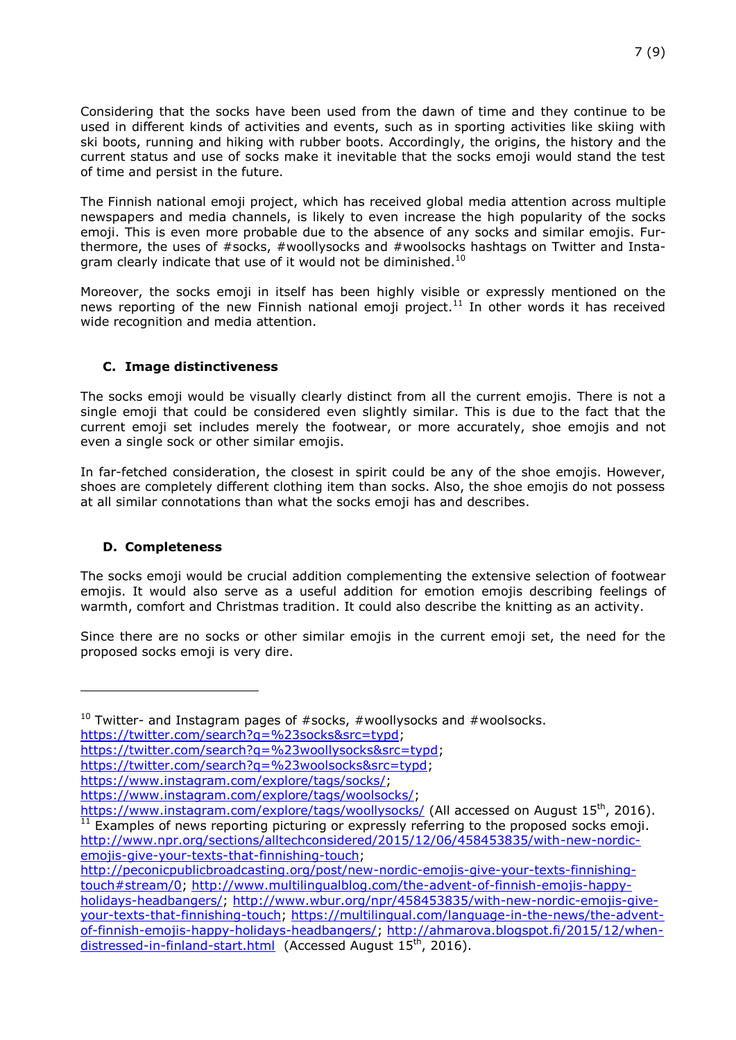Considering that the socks have been used from the dawn of time and they continue to be used in different kinds of activities and events, such as in sporting activities like skiing with ski boots, running and hiking with rubber boots. Accordingly, the origins, the history and the current status and use of socks make it inevitable that the socks emoji would stand the test of time and persist in the future.

The Finnish national emoji project, which has received global media attention across multiple newspapers and media channels, is likely to even increase the high popularity of the socks emoji. This is even more probable due to the absence of any socks and similar emojis. Furthermore, the uses of #socks, #woollysocks and #woolsocks hashtags on Twitter and Instagram clearly indicate that use of it would not be diminished.<sup>10</sup>

Moreover, the socks emoji in itself has been highly visible or expressly mentioned on the news reporting of the new Finnish national emoji project.<sup>11</sup> In other words it has received wide recognition and media attention.

## **C. Image distinctiveness**

The socks emoji would be visually clearly distinct from all the current emojis. There is not a single emoji that could be considered even slightly similar. This is due to the fact that the current emoji set includes merely the footwear, or more accurately, shoe emojis and not even a single sock or other similar emojis.

In far-fetched consideration, the closest in spirit could be any of the shoe emojis. However, shoes are completely different clothing item than socks. Also, the shoe emojis do not possess at all similar connotations than what the socks emoji has and describes.

### **D. Completeness**

l

The socks emoji would be crucial addition complementing the extensive selection of footwear emojis. It would also serve as a useful addition for emotion emojis describing feelings of warmth, comfort and Christmas tradition. It could also describe the knitting as an activity.

Since there are no socks or other similar emojis in the current emoji set, the need for the proposed socks emoji is very dire.

[https://twitter.com/search?q=%23woollysocks&src=typd;](https://twitter.com/search?q=%23woollysocks&src=typd)

[https://twitter.com/search?q=%23woolsocks&src=typd;](https://twitter.com/search?q=%23woolsocks&src=typd)

 $10$  Twitter- and Instagram pages of #socks, #woollysocks and #woolsocks. [https://twitter.com/search?q=%23socks&src=typd;](https://twitter.com/search?q=%23socks&src=typd)

[https://www.instagram.com/explore/tags/socks/;](https://www.instagram.com/explore/tags/socks/)

[https://www.instagram.com/explore/tags/woolsocks/;](https://www.instagram.com/explore/tags/woolsocks/)

<https://www.instagram.com/explore/tags/woollysocks/> (All accessed on August  $15^{th}$ , 2016). Examples of news reporting picturing or expressly referring to the proposed socks emoji. [http://www.npr.org/sections/alltechconsidered/2015/12/06/458453835/with-new-nordic](http://www.npr.org/sections/alltechconsidered/2015/12/06/458453835/with-new-nordic-emojis-give-your-texts-that-finnishing-touch)[emojis-give-your-texts-that-finnishing-touch;](http://www.npr.org/sections/alltechconsidered/2015/12/06/458453835/with-new-nordic-emojis-give-your-texts-that-finnishing-touch)

[http://peconicpublicbroadcasting.org/post/new-nordic-emojis-give-your-texts-finnishing](http://peconicpublicbroadcasting.org/post/new-nordic-emojis-give-your-texts-finnishing-touch#stream/0)[touch#stream/0;](http://peconicpublicbroadcasting.org/post/new-nordic-emojis-give-your-texts-finnishing-touch#stream/0) [http://www.multilingualblog.com/the-advent-of-finnish-emojis-happy](http://www.multilingualblog.com/the-advent-of-finnish-emojis-happy-holidays-headbangers/)[holidays-headbangers/;](http://www.multilingualblog.com/the-advent-of-finnish-emojis-happy-holidays-headbangers/) [http://www.wbur.org/npr/458453835/with-new-nordic-emojis-give](http://www.wbur.org/npr/458453835/with-new-nordic-emojis-give-your-texts-that-finnishing-touch)[your-texts-that-finnishing-touch;](http://www.wbur.org/npr/458453835/with-new-nordic-emojis-give-your-texts-that-finnishing-touch) [https://multilingual.com/language-in-the-news/the-advent](https://multilingual.com/language-in-the-news/the-advent-of-finnish-emojis-happy-holidays-headbangers/)[of-finnish-emojis-happy-holidays-headbangers/;](https://multilingual.com/language-in-the-news/the-advent-of-finnish-emojis-happy-holidays-headbangers/) [http://ahmarova.blogspot.fi/2015/12/when](http://ahmarova.blogspot.fi/2015/12/when-distressed-in-finland-start.html)[distressed-in-finland-start.html](http://ahmarova.blogspot.fi/2015/12/when-distressed-in-finland-start.html) (Accessed August 15<sup>th</sup>, 2016).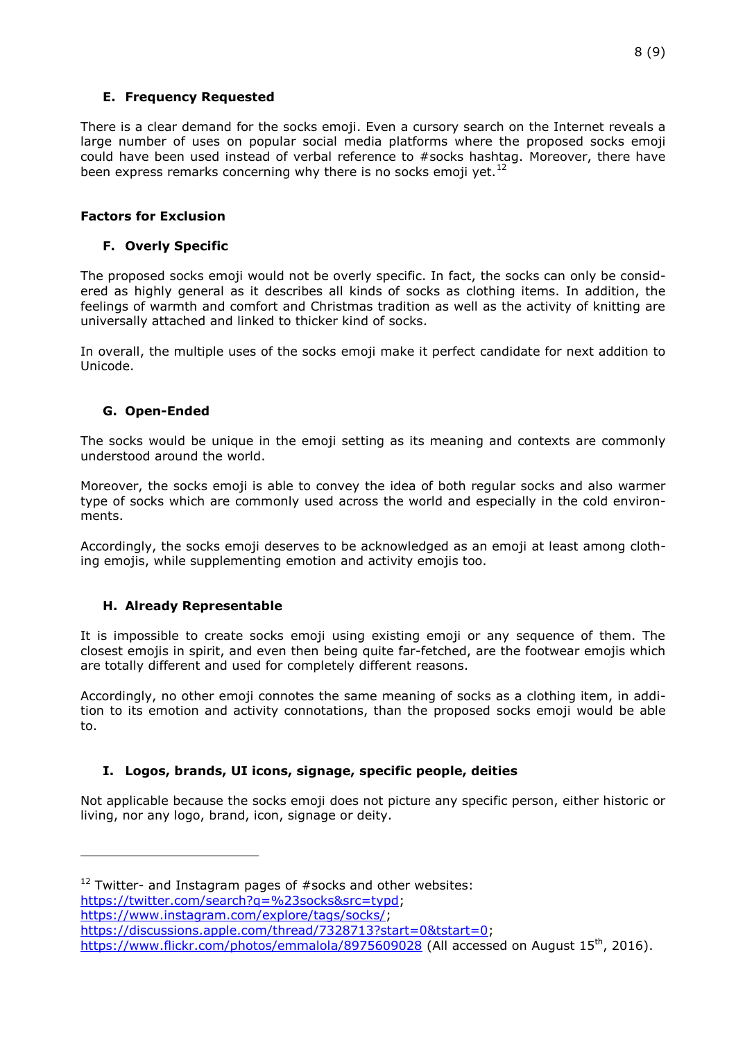### **E. Frequency Requested**

There is a clear demand for the socks emoji. Even a cursory search on the Internet reveals a large number of uses on popular social media platforms where the proposed socks emoji could have been used instead of verbal reference to #socks hashtag. Moreover, there have been express remarks concerning why there is no socks emoji yet.<sup>12</sup>

# **Factors for Exclusion**

# **F. Overly Specific**

The proposed socks emoji would not be overly specific. In fact, the socks can only be considered as highly general as it describes all kinds of socks as clothing items. In addition, the feelings of warmth and comfort and Christmas tradition as well as the activity of knitting are universally attached and linked to thicker kind of socks.

In overall, the multiple uses of the socks emoji make it perfect candidate for next addition to Unicode.

## **G. Open-Ended**

The socks would be unique in the emoji setting as its meaning and contexts are commonly understood around the world.

Moreover, the socks emoji is able to convey the idea of both regular socks and also warmer type of socks which are commonly used across the world and especially in the cold environments.

Accordingly, the socks emoji deserves to be acknowledged as an emoji at least among clothing emojis, while supplementing emotion and activity emojis too.

# **H. Already Representable**

l

It is impossible to create socks emoji using existing emoji or any sequence of them. The closest emojis in spirit, and even then being quite far-fetched, are the footwear emojis which are totally different and used for completely different reasons.

Accordingly, no other emoji connotes the same meaning of socks as a clothing item, in addition to its emotion and activity connotations, than the proposed socks emoji would be able to.

# **I. Logos, brands, UI icons, signage, specific people, deities**

Not applicable because the socks emoji does not picture any specific person, either historic or living, nor any logo, brand, icon, signage or deity.

[https://twitter.com/search?q=%23socks&src=typd;](https://twitter.com/search?q=%23socks&src=typd)

[https://www.instagram.com/explore/tags/socks/;](https://www.instagram.com/explore/tags/socks/)

 $12$  Twitter- and Instagram pages of #socks and other websites:

[https://discussions.apple.com/thread/7328713?start=0&tstart=0;](https://discussions.apple.com/thread/7328713?start=0&tstart=0)

<https://www.flickr.com/photos/emmalola/8975609028> (All accessed on August 15<sup>th</sup>, 2016).